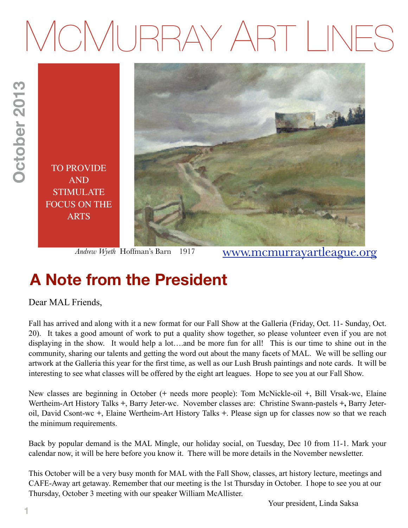# MCMURRAY ART LINES



*Andrew Wyeth* Hoffman's Barn 1917

[www.mcmurrayartleague.org](http://www.mcmurrayartleague.org)

# **A Note from the President**

Dear MAL Friends,

Fall has arrived and along with it a new format for our Fall Show at the Galleria (Friday, Oct. 11- Sunday, Oct. 20). It takes a good amount of work to put a quality show together, so please volunteer even if you are not displaying in the show. It would help a lot….and be more fun for all! This is our time to shine out in the community, sharing our talents and getting the word out about the many facets of MAL. We will be selling our artwork at the Galleria this year for the first time, as well as our Lush Brush paintings and note cards. It will be interesting to see what classes will be offered by the eight art leagues. Hope to see you at our Fall Show.

New classes are beginning in October (**+** needs more people): Tom McNickle-oil **+**, Bill Vrsak-wc, Elaine Wertheim-Art History Talks **+**, Barry Jeter-wc. November classes are: Christine Swann-pastels **+,** Barry Jeteroil, David Csont-wc **+**, Elaine Wertheim-Art History Talks **+**. Please sign up for classes now so that we reach the minimum requirements.

Back by popular demand is the MAL Mingle, our holiday social, on Tuesday, Dec 10 from 11-1. Mark your calendar now, it will be here before you know it. There will be more details in the November newsletter.

This October will be a very busy month for MAL with the Fall Show, classes, art history lecture, meetings and CAFE-Away art getaway. Remember that our meeting is the 1st Thursday in October. I hope to see you at our Thursday, October 3 meeting with our speaker William McAllister.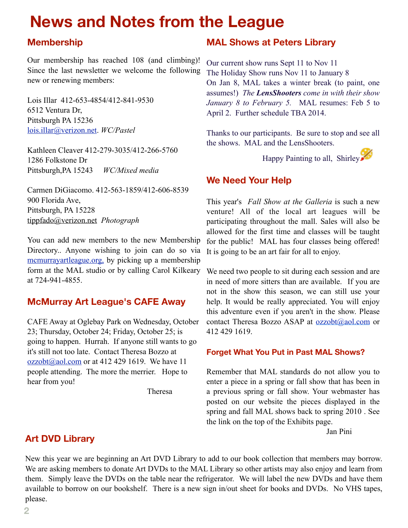# **News and Notes from the League**

#### **Membership**

Our membership has reached 108 (and climbing)! Since the last newsletter we welcome the following new or renewing members:

Lois Illar 412-653-4854/412-841-9530 6512 Ventura Dr, Pittsburgh PA 15236 [lois.illar@verizon.net.](mailto:lois.illar@verizon.net) *WC/Pastel*

Kathleen Cleaver 412-279-3035/412-266-5760 1286 Folkstone Dr Pittsburgh,PA 15243 *WC/Mixed media*

Carmen DiGiacomo. 412-563-1859/412-606-8539 900 Florida Ave, Pittsburgh, PA 15228 [tippfado@verizon.net](mailto:tippfado@verizon.net) *Photograph*

You can add new members to the new Membership Directory.. Anyone wishing to join can do so via [mcmurrayartleague.org,](http://livepage.apple.com/) by picking up a membership form at the MAL studio or by calling Carol Kilkeary at 724-941-4855.

#### **McMurray Art League's CAFE Away**

CAFE Away at Oglebay Park on Wednesday, October 23; Thursday, October 24; Friday, October 25; is going to happen. Hurrah. If anyone still wants to go it's still not too late. Contact Theresa Bozzo at  $ozzobt(\partial a)$  com or at 412 429 1619. We have 11 people attending. The more the merrier. Hope to hear from you!

Theresa

#### **MAL Shows at Peters Library**

Our current show runs Sept 11 to Nov 11 The Holiday Show runs Nov 11 to January 8 On Jan 8, MAL takes a winter break (to paint, one assumes!) *The LensShooters come in with their show January 8 to February 5.* MAL resumes: Feb 5 to April 2. Further schedule TBA 2014.

Thanks to our participants. Be sure to stop and see all the shows. MAL and the LensShooters.

Happy Painting to all, Shirley

#### **We Need Your Help**

This year's *Fall Show at the Galleria* is such a new venture! All of the local art leagues will be participating throughout the mall. Sales will also be allowed for the first time and classes will be taught for the public! MAL has four classes being offered! It is going to be an art fair for all to enjoy.

We need two people to sit during each session and are in need of more sitters than are available. If you are not in the show this season, we can still use your help. It would be really appreciated. You will enjoy this adventure even if you aren't in the show. Please contact Theresa Bozzo ASAP at [ozzobt@aol.com](mailto:ozzobt@aol.com) or 412 429 1619.

#### **Forget What You Put in Past MAL Shows?**

Remember that MAL standards do not allow you to enter a piece in a spring or fall show that has been in a previous spring or fall show. Your webmaster has posted on our website the pieces displayed in the spring and fall MAL shows back to spring 2010 . See the link on the top of the Exhibits page.

Jan Pini

#### **Art DVD Library**

New this year we are beginning an Art DVD Library to add to our book collection that members may borrow. We are asking members to donate Art DVDs to the MAL Library so other artists may also enjoy and learn from them. Simply leave the DVDs on the table near the refrigerator. We will label the new DVDs and have them available to borrow on our bookshelf. There is a new sign in/out sheet for books and DVDs. No VHS tapes, please.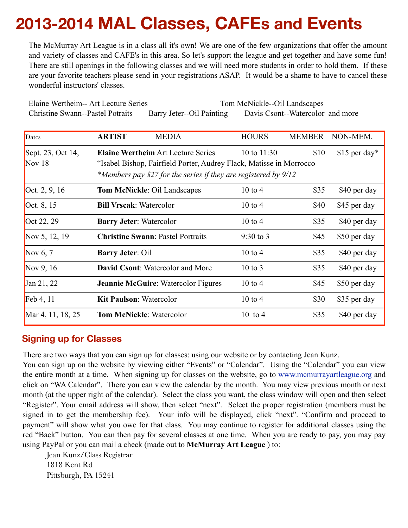# **2013-2014 MAL Classes, CAFEs and Events**

The McMurray Art League is in a class all it's own! We are one of the few organizations that offer the amount and variety of classes and CAFE's in this area. So let's support the league and get together and have some fun! There are still openings in the following classes and we will need more students in order to hold them. If these are your favorite teachers please send in your registrations ASAP. It would be a shame to have to cancel these wonderful instructors' classes.

Elaine Wertheim-- Art Lecture Series Tom McNickle--Oil Landscapes Christine Swann--Pastel Potraits Barry Jeter--Oil Painting Davis Csont--Watercolor and more

| Dates             | <b>ARTIST</b>                                                       | <b>MEDIA</b>                                                      | <b>HOURS</b>       | <b>MEMBER</b> | NON-MEM.       |  |
|-------------------|---------------------------------------------------------------------|-------------------------------------------------------------------|--------------------|---------------|----------------|--|
| Sept. 23, Oct 14, |                                                                     | <b>Elaine Wertheim Art Lecture Series</b>                         | 10 to $11:30$      | \$10          | $$15$ per day* |  |
| Nov $18$          | "Isabel Bishop, Fairfield Porter, Audrey Flack, Matisse in Morrocco |                                                                   |                    |               |                |  |
|                   |                                                                     | *Members pay \$27 for the series if they are registered by $9/12$ |                    |               |                |  |
| Oct. 2, 9, 16     |                                                                     | <b>Tom McNickle: Oil Landscapes</b>                               | $10 \text{ to } 4$ | \$35          | \$40 per day   |  |
| Oct. 8, 15        | <b>Bill Vrscak: Watercolor</b>                                      |                                                                   | $10 \text{ to } 4$ | \$40          | \$45 per day   |  |
| Oct 22, 29        |                                                                     | <b>Barry Jeter: Watercolor</b>                                    | $10$ to $4$        | \$35          | \$40 per day   |  |
| Nov 5, 12, 19     |                                                                     | <b>Christine Swann: Pastel Portraits</b>                          | $9:30$ to 3        | \$45          | \$50 per day   |  |
| Nov 6, $7$        | <b>Barry Jeter: Oil</b>                                             |                                                                   | $10 \text{ to } 4$ | \$35          | \$40 per day   |  |
| Nov 9, $16$       |                                                                     | <b>David Csont:</b> Watercolor and More                           | $10$ to $3$        | \$35          | \$40 per day   |  |
| Jan 21, 22        |                                                                     | <b>Jeannie McGuire: Watercolor Figures</b>                        | $10 \text{ to } 4$ | \$45          | \$50 per day   |  |
| Feb $4, 11$       |                                                                     | <b>Kit Paulson: Watercolor</b>                                    | $10 \text{ to } 4$ | \$30          | \$35 per day   |  |
| Mar 4, 11, 18, 25 |                                                                     | <b>Tom McNickle: Watercolor</b>                                   | $10$ to 4          | \$35          | \$40 per day   |  |

#### **Signing up for Classes**

There are two ways that you can sign up for classes: using our website or by contacting Jean Kunz.

You can sign up on the website by viewing either "Events" or "Calendar". Using the "Calendar" you can view the entire month at a time. When signing up for classes on the website, go to [www.mcmurrayartleague.org](http://www.mcmurrayartleague.org) and click on "WA Calendar". There you can view the calendar by the month. You may view previous month or next month (at the upper right of the calendar). Select the class you want, the class window will open and then select "Register". Your email address will show, then select "next". Select the proper registration (members must be signed in to get the membership fee). Your info will be displayed, click "next". "Confirm and proceed to payment" will show what you owe for that class. You may continue to register for additional classes using the red "Back" button. You can then pay for several classes at one time. When you are ready to pay, you may pay using PayPal or you can mail a check (made out to **McMurray Art League** ) to:

Jean Kunz/Class Registrar 1818 Kent Rd Pittsburgh, PA 15241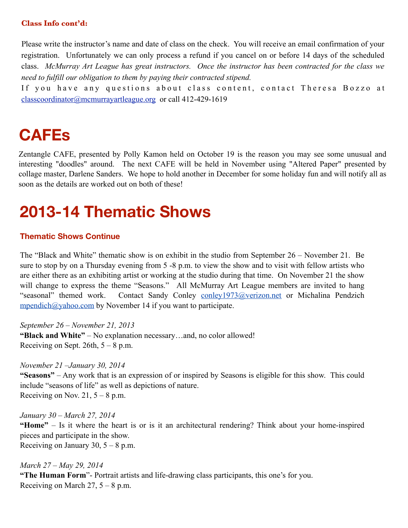#### **Class Info cont'd:**

Please write the instructor's name and date of class on the check. You will receive an email confirmation of your registration. Unfortunately we can only process a refund if you cancel on or before 14 days of the scheduled class. *McMurray Art League has great instructors. Once the instructor has been contracted for the class we need to fulfill our obligation to them by paying their contracted stipend.* 

If you have any questions about class content, contact Theresa Bozzo at [classcoordinator@mcmurrayartleague.org](mailto:classcoordinator@mcmurrayartleague.org) or call 412-429-1619

### **CAFEs**

Zentangle CAFE, presented by Polly Kamon held on October 19 is the reason you may see some unusual and interesting "doodles" around. The next CAFE will be held in November using "Altered Paper" presented by collage master, Darlene Sanders. We hope to hold another in December for some holiday fun and will notify all as soon as the details are worked out on both of these!

# **2013-14 Thematic Shows**

#### **Thematic Shows Continue**

The "Black and White" thematic show is on exhibit in the studio from September 26 – November 21. Be sure to stop by on a Thursday evening from 5 -8 p.m. to view the show and to visit with fellow artists who are either there as an exhibiting artist or working at the studio during that time. On November 21 the show will change to express the theme "Seasons." All McMurray Art League members are invited to hang "seasonal" themed work. Contact Sandy Conley [conley1973@verizon.net](mailto:conley1973@verizon.net) or Michalina Pendzich [mpendich@yahoo.com](mailto:mpendich@yahoo.com) by November 14 if you want to participate.

*September 26 – November 21, 2013* **"Black and White"** – No explanation necessary…and, no color allowed! Receiving on Sept. 26th,  $5 - 8$  p.m.

*November 21 –January 30, 2014* 

**"Seasons"** – Any work that is an expression of or inspired by Seasons is eligible for this show. This could include "seasons of life" as well as depictions of nature. Receiving on Nov. 21,  $5 - 8$  p.m.

*January 30 – March 27, 2014* **"Home"** – Is it where the heart is or is it an architectural rendering? Think about your home-inspired pieces and participate in the show. Receiving on January 30,  $5 - 8$  p.m.

*March 27 – May 29, 2014* **"The Human Form**"- Portrait artists and life-drawing class participants, this one's for you. Receiving on March 27,  $5 - 8$  p.m.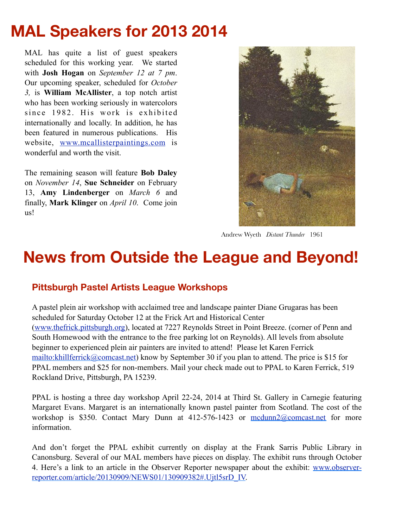# **MAL Speakers for 2013 2014**

MAL has quite a list of guest speakers scheduled for this working year. We started with **Josh Hogan** on *September 12 at 7 pm*. Our upcoming speaker, scheduled for *October 3,* is **William McAllister**, a top notch artist who has been working seriously in watercolors since 1982. His work is exhibited internationally and locally. In addition, he has been featured in numerous publications. His website, [www.mcallisterpaintings.com](http://www.mcallisterpaintings.com/) is wonderful and worth the visit.

The remaining season will feature **Bob Daley** on *November 14*, **Sue Schneider** on February 13, **Amy Lindenberger** on *March 6* and finally, **Mark Klinger** on *April 10*. Come join us!



Andrew Wyeth *Distant Thunder* 1961

### **News from Outside the League and Beyond!**

#### **Pittsburgh Pastel Artists League Workshops**

A pastel plein air workshop with acclaimed tree and landscape painter Diane Grugaras has been scheduled for Saturday October 12 at the Frick Art and Historical Center [\(www.thefrick.pittsburgh.org\)](http://www.thefrick.pittsburgh.org/), located at 7227 Reynolds Street in Point Breeze. (corner of Penn and South Homewood with the entrance to the free parking lot on Reynolds). All levels from absolute beginner to experienced plein air painters are invited to attend! Please let Karen Ferrick <mailto:khillferrick@comcast.net>) know by September 30 if you plan to attend. The price is \$15 for PPAL members and \$25 for non-members. Mail your check made out to PPAL to Karen Ferrick, 519 Rockland Drive, Pittsburgh, PA 15239.

PPAL is hosting a three day workshop April 22-24, 2014 at Third St. Gallery in Carnegie featuring Margaret Evans. Margaret is an internationally known pastel painter from Scotland. The cost of the workshop is \$350. Contact Mary Dunn at 412-576-1423 or modunn2@comcast.net for more information.

And don't forget the PPAL exhibit currently on display at the Frank Sarris Public Library in Canonsburg. Several of our MAL members have pieces on display. The exhibit runs through October 4. Here's a link to an article in the Observer Reporter newspaper about the exhibit: [www.observer](http://www.observer-reporter.com/article/20130909/NEWS01/130909382#.Ujtl5srD_IV)[reporter.com/article/20130909/NEWS01/130909382#.Ujtl5srD\\_IV.](http://www.observer-reporter.com/article/20130909/NEWS01/130909382#.Ujtl5srD_IV)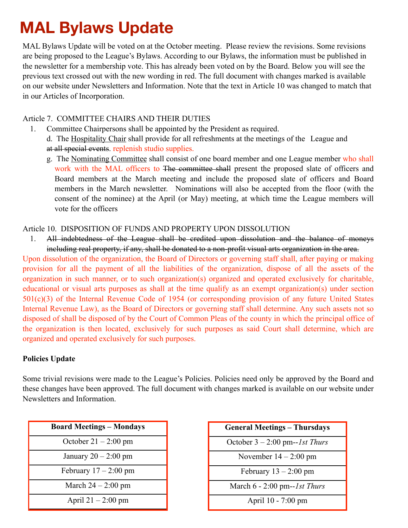# **MAL Bylaws Update**

MAL Bylaws Update will be voted on at the October meeting. Please review the revisions. Some revisions are being proposed to the League's Bylaws. According to our Bylaws, the information must be published in the newsletter for a membership vote. This has already been voted on by the Board. Below you will see the previous text crossed out with the new wording in red. The full document with changes marked is available on our website under Newsletters and Information. Note that the text in Article 10 was changed to match that in our Articles of Incorporation.

#### Article 7. COMMITTEE CHAIRS AND THEIR DUTIES

- 1. Committee Chairpersons shall be appointed by the President as required.
	- d. The Hospitality Chair shall provide for all refreshments at the meetings of the League and at all special events. replenish studio supplies.
	- g. The Nominating Committee shall consist of one board member and one League member who shall work with the MAL officers to The committee shall present the proposed slate of officers and Board members at the March meeting and include the proposed slate of officers and Board members in the March newsletter. Nominations will also be accepted from the floor (with the consent of the nominee) at the April (or May) meeting, at which time the League members will vote for the officers

#### Article 10. DISPOSITION OF FUNDS AND PROPERTY UPON DISSOLUTION

1. All indebtedness of the League shall be credited upon dissolution and the balance of moneys including real property, if any, shall be donated to a non-profit visual arts organization in the area.

Upon dissolution of the organization, the Board of Directors or governing staff shall, after paying or making provision for all the payment of all the liabilities of the organization, dispose of all the assets of the organization in such manner, or to such organization(s) organized and operated exclusively for charitable, educational or visual arts purposes as shall at the time qualify as an exempt organization(s) under section 501(c)(3) of the Internal Revenue Code of 1954 (or corresponding provision of any future United States Internal Revenue Law), as the Board of Directors or governing staff shall determine. Any such assets not so disposed of shall be disposed of by the Court of Common Pleas of the county in which the principal office of the organization is then located, exclusively for such purposes as said Court shall determine, which are organized and operated exclusively for such purposes.

#### **Policies Update**

Some trivial revisions were made to the League's Policies. Policies need only be approved by the Board and these changes have been approved. The full document with changes marked is available on our website under Newsletters and Information.

| <b>Board Meetings - Mondays</b> |
|---------------------------------|
| October $21 - 2:00$ pm          |
| January $20 - 2:00$ pm          |
| February $17 - 2:00$ pm         |
| March $24 - 2:00$ pm            |
| April $21 - 2:00$ pm            |

| <b>General Meetings - Thursdays</b> |  |
|-------------------------------------|--|
| October $3 - 2:00$ pm--1st Thurs    |  |
| November $14 - 2:00$ pm             |  |
| February $13 - 2:00$ pm             |  |
| March $6 - 2:00$ pm--1st Thurs      |  |
| April 10 - 7:00 pm                  |  |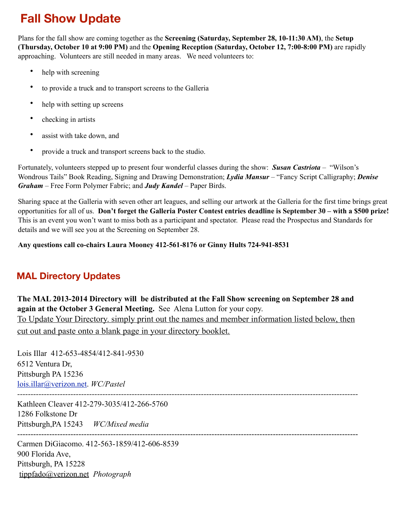### **Fall Show Update**

Plans for the fall show are coming together as the **Screening (Saturday, September 28, 10-11:30 AM)**, the **Setup (Thursday, October 10 at 9:00 PM)** and the **Opening Reception (Saturday, October 12, 7:00-8:00 PM)** are rapidly approaching. Volunteers are still needed in many areas. We need volunteers to:

- help with screening
- to provide a truck and to transport screens to the Galleria
- help with setting up screens
- checking in artists
- assist with take down, and
- provide a truck and transport screens back to the studio.

Fortunately, volunteers stepped up to present four wonderful classes during the show: *Susan Castriota* – "Wilson's Wondrous Tails" Book Reading, Signing and Drawing Demonstration; *Lydia Mansur* – "Fancy Script Calligraphy; *Denise Graham* – Free Form Polymer Fabric; and *Judy Kandel* – Paper Birds.

Sharing space at the Galleria with seven other art leagues, and selling our artwork at the Galleria for the first time brings great opportunities for all of us. **Don't forget the Galleria Poster Contest entries deadline is September 30 – with a \$500 prize!** This is an event you won't want to miss both as a participant and spectator. Please read the Prospectus and Standards for details and we will see you at the Screening on September 28.

**Any questions call co-chairs Laura Mooney 412-561-8176 or Ginny Hults 724-941-8531**

#### **MAL Directory Updates**

**The MAL 2013-2014 Directory will be distributed at the Fall Show screening on September 28 and again at the October 3 General Meeting.** See Alena Lutton for your copy. To Update Your Directory. simply print out the names and member information listed below, then cut out and paste onto a blank page in your directory booklet.

Lois Illar 412-653-4854/412-841-9530 6512 Ventura Dr, Pittsburgh PA 15236 [lois.illar@verizon.net.](mailto:lois.illar@verizon.net) *WC/Pastel --------------------------------------------------------------------------------------------------------------------------------* Kathleen Cleaver 412-279-3035/412-266-5760 1286 Folkstone Dr Pittsburgh,PA 15243 *WC/Mixed media* -------------------------------------------------------------------------------------------------------------------------------- Carmen DiGiacomo. 412-563-1859/412-606-8539

900 Florida Ave, Pittsburgh, PA 15228 [tippfado@verizon.net](mailto:tippfado@verizon.net) *Photograph*